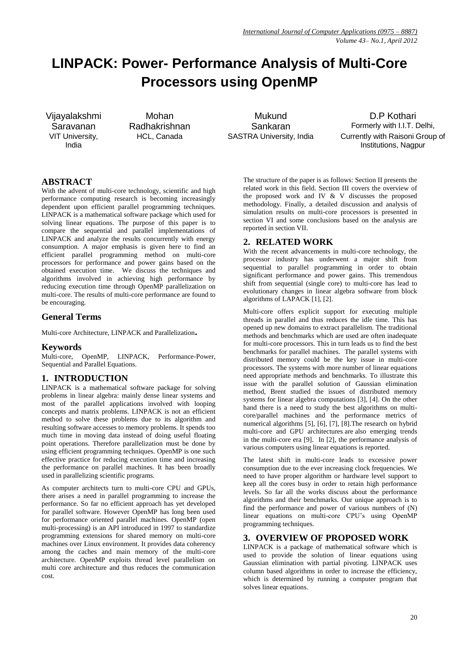# **LINPACK: Power- Performance Analysis of Multi-Core Processors using OpenMP**

Vijayalakshmi Saravanan VIT University, India

Mohan Radhakrishnan

Mukund Sankaran

D.P Kothari Formerly with I.I.T. Delhi, HCL, Canada SASTRA University, India Currently with Raisoni Group of Institutions, Nagpur

# **ABSTRACT**

With the advent of multi-core technology, scientific and high performance computing research is becoming increasingly dependent upon efficient parallel programming techniques. LINPACK is a mathematical software package which used for solving linear equations. The purpose of this paper is to compare the sequential and parallel implementations of LINPACK and analyze the results concurrently with energy consumption. A major emphasis is given here to find an efficient parallel programming method on multi-core processors for performance and power gains based on the obtained execution time. We discuss the techniques and algorithms involved in achieving high performance by reducing execution time through OpenMP parallelization on multi-core. The results of multi-core performance are found to be encouraging.

# **General Terms**

Multi-core Architecture, LINPACK and Parallelization**.**

## **Keywords**

Multi-core, OpenMP, LINPACK, Performance-Power, Sequential and Parallel Equations.

# **1. INTRODUCTION**

LINPACK is a mathematical software package for solving problems in linear algebra: mainly dense linear systems and most of the parallel applications involved with looping concepts and matrix problems. LINPACK is not an efficient method to solve these problems due to its algorithm and resulting software accesses to memory problems. It spends too much time in moving data instead of doing useful floating point operations. Therefore parallelization must be done by using efficient programming techniques. OpenMP is one such effective practice for reducing execution time and increasing the performance on parallel machines. It has been broadly used in parallelizing scientific programs.

As computer architects turn to multi-core CPU and GPUs, there arises a need in parallel programming to increase the performance. So far no efficient approach has yet developed for parallel software. However OpenMP has long been used for performance oriented parallel machines. OpenMP (open multi-processing) is an API introduced in 1997 to standardize programming extensions for shared memory on multi-core machines over Linux environment. It provides data coherency among the caches and main memory of the multi-core architecture. OpenMP exploits thread level parallelism on multi core architecture and thus reduces the communication cost.

The structure of the paper is as follows: Section II presents the related work in this field. Section III covers the overview of the proposed work and IV & V discusses the proposed methodology. Finally, a detailed discussion and analysis of simulation results on multi-core processors is presented in section VI and some conclusions based on the analysis are reported in section VII.

# **2. RELATED WORK**

With the recent advancements in multi-core technology, the processor industry has underwent a major shift from sequential to parallel programming in order to obtain significant performance and power gains. This tremendous shift from sequential (single core) to multi-core has lead to evolutionary changes in linear algebra software from block algorithms of LAPACK [1], [2].

Multi-core offers explicit support for executing multiple threads in parallel and thus reduces the idle time. This has opened up new domains to extract parallelism. The traditional methods and benchmarks which are used are often inadequate for multi-core processors. This in turn leads us to find the best benchmarks for parallel machines. The parallel systems with distributed memory could be the key issue in multi-core processors. The systems with more number of linear equations need appropriate methods and benchmarks. To illustrate this issue with the parallel solution of Gaussian elimination method, Brent studied the issues of distributed memory systems for linear algebra computations [3], [4]. On the other hand there is a need to study the best algorithms on multicore/parallel machines and the performance metrics of numerical algorithms [5], [6], [7], [8].The research on hybrid multi-core and GPU architectures are also emerging trends in the multi-core era [9]. In [2], the performance analysis of various computers using linear equations is reported.

The latest shift in multi-core leads to excessive power consumption due to the ever increasing clock frequencies. We need to have proper algorithm or hardware level support to keep all the cores busy in order to retain high performance levels. So far all the works discuss about the performance algorithms and their benchmarks. Our unique approach is to find the performance and power of various numbers of (N) linear equations on multi-core CPU's using OpenMP programming techniques.

# **3. OVERVIEW OF PROPOSED WORK**

LINPACK is a package of mathematical software which is used to provide the solution of linear equations using Gaussian elimination with partial pivoting. LINPACK uses column based algorithms in order to increase the efficiency, which is determined by running a computer program that solves linear equations.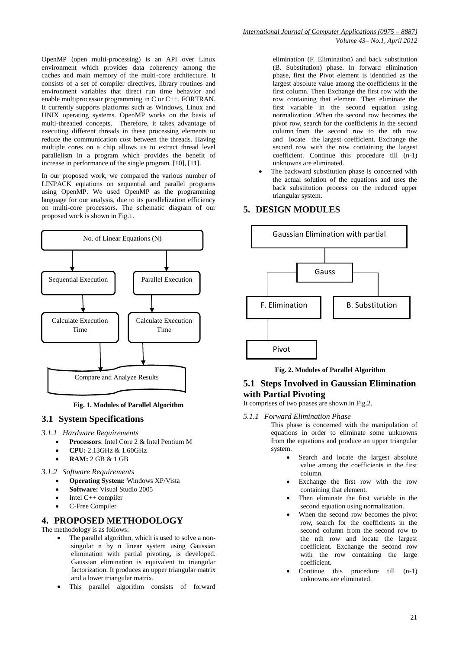OpenMP (open multi-processing) is an API over Linux environment which provides data coherency among the caches and main memory of the multi-core architecture. It consists of a set of compiler directives, library routines and environment variables that direct run time behavior and enable multiprocessor programming in C or C++, FORTRAN. It currently supports platforms such as Windows, Linux and UNIX operating systems. OpenMP works on the basis of multi-threaded concepts. Therefore, it takes advantage of executing different threads in these processing elements to reduce the communication cost between the threads. Having multiple cores on a chip allows us to extract thread level parallelism in a program which provides the benefit of increase in performance of the single program. [10], [11].

In our proposed work, we compared the various number of LINPACK equations on sequential and parallel programs using OpenMP. We used OpenMP as the programming language for our analysis, due to its parallelization efficiency on multi-core processors. The schematic diagram of our proposed work is shown in Fig.1.



**Fig. 1. Modules of Parallel Algorithm**

#### **3.1 System Specifications**

*3.1.1 Hardware Requirements*

- **Processors**: Intel Core 2 & Intel Pentium M
- **CPU:** 2.13GHz & 1.60GHz
- **RAM:** 2 GB & 1 GB
- *3.1.2 Software Requirements*
	- **Operating System:** Windows XP/Vista
		- **Software:** Visual Studio 2005
		- Intel C++ compiler
		- C-Free Compiler

## **4. PROPOSED METHODOLOGY**

The methodology is as follows:

- The parallel algorithm, which is used to solve a nonsingular n by n linear system using Gaussian elimination with partial pivoting, is developed. Gaussian elimination is equivalent to triangular factorization. It produces an upper triangular matrix and a lower triangular matrix.
- This parallel algorithm consists of forward

elimination (F. Elimination) and back substitution (B. Substitution) phase. In forward elimination phase, first the Pivot element is identified as the largest absolute value among the coefficients in the first column. Then Exchange the first row with the row containing that element. Then eliminate the first variable in the second equation using normalization .When the second row becomes the pivot row, search for the coefficients in the second column from the second row to the nth row and locate the largest coefficient. Exchange the second row with the row containing the largest coefficient. Continue this procedure till (n-1) unknowns are eliminated.

 The backward substitution phase is concerned with the actual solution of the equations and uses the back substitution process on the reduced upper triangular system.

## **5. DESIGN MODULES**



**Fig. 2. Modules of Parallel Algorithm**

## **5.1 Steps Involved in Gaussian Elimination with Partial Pivoting**

It comprises of two phases are shown in Fig.2.

*5.1.1 Forward Elimination Phase*

This phase is concerned with the manipulation of equations in order to eliminate some unknowns from the equations and produce an upper triangular system.

- Search and locate the largest absolute value among the coefficients in the first column.
- Exchange the first row with the row containing that element.
- Then eliminate the first variable in the second equation using normalization.
- When the second row becomes the pivot row, search for the coefficients in the second column from the second row to the nth row and locate the largest coefficient. Exchange the second row with the row containing the large coefficient.
- Continue this procedure till (n-1) unknowns are eliminated.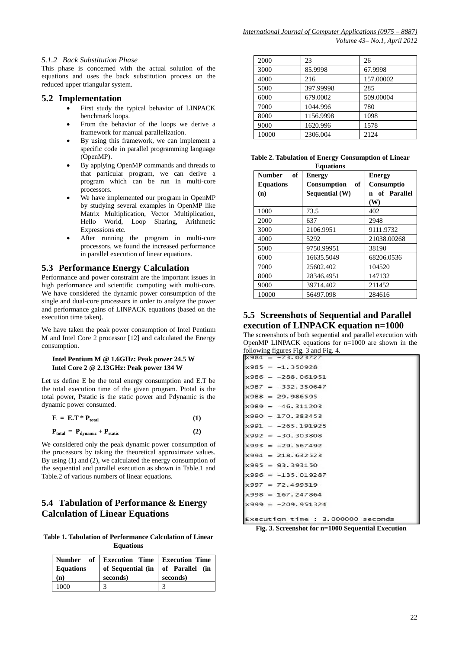#### *5.1.2 Back Substitution Phase*

This phase is concerned with the actual solution of the equations and uses the back substitution process on the reduced upper triangular system.

#### **5.2 Implementation**

- First study the typical behavior of LINPACK benchmark loops.
- From the behavior of the loops we derive a framework for manual parallelization.
- By using this framework, we can implement a specific code in parallel programming language (OpenMP).
- By applying OpenMP commands and threads to that particular program, we can derive a program which can be run in multi-core processors.
- We have implemented our program in OpenMP by studying several examples in OpenMP like Matrix Multiplication, Vector Multiplication, Hello World, Loop Sharing, Arithmetic Expressions etc.
- After running the program in multi-core processors, we found the increased performance in parallel execution of linear equations.

#### **5.3 Performance Energy Calculation**

Performance and power constraint are the important issues in high performance and scientific computing with multi-core. We have considered the dynamic power consumption of the single and dual-core processors in order to analyze the power and performance gains of LINPACK equations (based on the execution time taken).

We have taken the peak power consumption of Intel Pentium M and Intel Core 2 processor [12] and calculated the Energy consumption.

#### **Intel Pentium M @ 1.6GHz: Peak power 24.5 W Intel Core 2 @ 2.13GHz: Peak power 134 W**

Let us define E be the total energy consumption and E.T be the total execution time of the given program. Ptotal is the total power, Pstatic is the static power and Pdynamic is the dynamic power consumed.

| $E = E.T * P_{total}$ |  |
|-----------------------|--|
|-----------------------|--|

$$
\mathbf{P}_{\text{total}} = \mathbf{P}_{\text{dynamic}} + \mathbf{P}_{\text{static}} \tag{2}
$$

We considered only the peak dynamic power consumption of the processors by taking the theoretical approximate values. By using (1) and (2), we calculated the energy consumption of the sequential and parallel execution as shown in Table.1 and Table.2 of various numbers of linear equations.

## **5.4 Tabulation of Performance & Energy Calculation of Linear Equations**

**Table 1. Tabulation of Performance Calculation of Linear Equations**

| <b>Equations</b> | Number of Execution Time   Execution Time | of Sequential (in $\vert$ of Parallel (in |
|------------------|-------------------------------------------|-------------------------------------------|
| (n)              | seconds)                                  | seconds)                                  |
| 1000             |                                           |                                           |

| 2000  | 23        | 26        |
|-------|-----------|-----------|
| 3000  | 85.9998   | 67.9998   |
| 4000  | 216       | 157.00002 |
| 5000  | 397.99998 | 285       |
| 6000  | 679.0002  | 509.00004 |
| 7000  | 1044.996  | 780       |
| 8000  | 1156.9998 | 1098      |
| 9000  | 1620.996  | 1578      |
| 10000 | 2306.004  | 2124      |

|  |  | Table 2. Tabulation of Energy Consumption of Linear |  |
|--|--|-----------------------------------------------------|--|
|  |  |                                                     |  |

| of<br><b>Number</b> | <b>Energy</b>            | <b>Energy</b>     |
|---------------------|--------------------------|-------------------|
| <b>Equations</b>    | of<br><b>Consumption</b> | <b>Consumptio</b> |
| (n)                 | Sequential (W)           | n of Parallel     |
|                     |                          | (W)               |
| 1000                | 73.5                     | 402               |
| 2000                | 637                      | 2948              |
| 3000                | 2106.9951                | 9111.9732         |
| 4000                | 5292                     | 21038.00268       |
| 5000                | 9750.99951               | 38190             |
| 6000                | 16635.5049               | 68206.0536        |
| 7000                | 25602.402                | 104520            |
| 8000                | 28346.4951               | 147132            |
| 9000                | 39714.402                | 211452            |
| 10000               | 56497.098                | 284616            |

## **5.5 Screenshots of Sequential and Parallel execution of LINPACK equation n=1000**

The screenshots of both sequential and parallel execution with OpenMP LINPACK equations for  $n=1000$  are shown in the following figures Fig. 3 and Fig. 4.

|  | $\texttt{x984} = -73.023727$      |
|--|-----------------------------------|
|  | $x985 = -1.350928$                |
|  | $x986 = -288,061951$              |
|  | $x987 = -332.350647$              |
|  | $x988 = 29.986595$                |
|  | $x989 = -46.311203$               |
|  | $x990 = 170.383453$               |
|  | $x991 = -265.191925$              |
|  | $x992 = -30.303808$               |
|  | $x993 = -29.567492$               |
|  | $x994 = 218.632523$               |
|  | $x995 = 93.393150$                |
|  | $x996 = -135.019287$              |
|  | $x997 = 72.499519$                |
|  | $x998 = 167.247864$               |
|  | $x999 = -209, 951324$             |
|  | Execution time : 3.000000 seconds |

**Fig. 3. Screenshot for n=1000 Sequential Execution**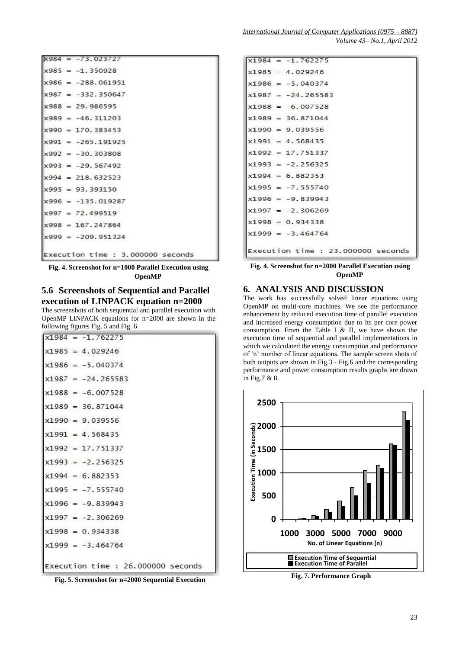|  | $x984 = -73.023727$               |
|--|-----------------------------------|
|  | $x985 = -1.350928$                |
|  | $x986 = -288.061951$              |
|  | $x987 = -332.350647$              |
|  | $x988 = 29.986595$                |
|  | $x989 = -46, 311203$              |
|  | $x990 = 170.383453$               |
|  | $x991 = -265.191925$              |
|  | $x992 = -30.303808$               |
|  | $x993 = -29.567492$               |
|  | $x994 = 218.632523$               |
|  | $x995 = 93, 393150$               |
|  | $x996 = -135.019287$              |
|  | $x997 = 72.499519$                |
|  | $x998 = 167.247864$               |
|  | $x999 = -209.951324$              |
|  | Execution time : 3.000000 seconds |

**Fig. 4. Screenshot for n=1000 Parallel Execution using OpenMP**

## **5.6 Screenshots of Sequential and Parallel execution of LINPACK equation n=2000**

The screenshots of both sequential and parallel execution with OpenMP LINPACK equations for n=2000 are shown in the following figures Fig. 5 and Fig. 6.

|  | $x1984 = -1.762275$                |
|--|------------------------------------|
|  | $x1985 = 4.029246$                 |
|  | $x1986 = -5.040374$                |
|  | $x1987 = -24.265583$               |
|  | $x1988 = -6.007528$                |
|  | $x1989 = 36.871044$                |
|  | $x1990 = 9.039556$                 |
|  | $x1991 = 4.568435$                 |
|  | $x1992 = 17.751337$                |
|  | $x1993 = -2.256325$                |
|  | $x1994 = 6.882353$                 |
|  | $x1995 = -7.555740$                |
|  | $x1996 = -9.839943$                |
|  | $x1997 = -2.306269$                |
|  | $x1998 = 0.934338$                 |
|  | $x1999 = -3.464764$                |
|  | Execution time : 26.000000 seconds |

**Fig. 5. Screenshot for n=2000 Sequential Execution**

| $x1984 = -1.762275$                |
|------------------------------------|
|                                    |
| $x1985 = 4.029246$                 |
| $x1986 = -5.040374$                |
| $x1987 = -24.265583$               |
| $x1988 = -6.007528$                |
| $x1989 = 36.871044$                |
| $x1990 = 9.039556$                 |
| $x1991 = 4.568435$                 |
| $x1992 = 17.751337$                |
| $x1993 = -2.256325$                |
| $x1994 = 6.882353$                 |
| $x1995 = -7.555740$                |
| $x1996 = -9.839943$                |
| $x1997 = -2.306269$                |
| $x1998 = 0.934338$                 |
| $x1999 = -3.464764$                |
| Execution time : 23.000000 seconds |

**Fig. 4. Screenshot for n=2000 Parallel Execution using OpenMP**

# **6. ANALYSIS AND DISCUSSION**

The work has successfully solved linear equations using OpenMP on multi-core machines. We see the performance enhancement by reduced execution time of parallel execution and increased energy consumption due to its per core power consumption. From the Table I & II, we have shown the execution time of sequential and parallel implementations in which we calculated the energy consumption and performance of 'n' number of linear equations. The sample screen shots of both outputs are shown in Fig.3 - Fig.6 and the corresponding performance and power consumption results graphs are drawn in Fig.7 & 8.



**Fig. 7. Performance Graph**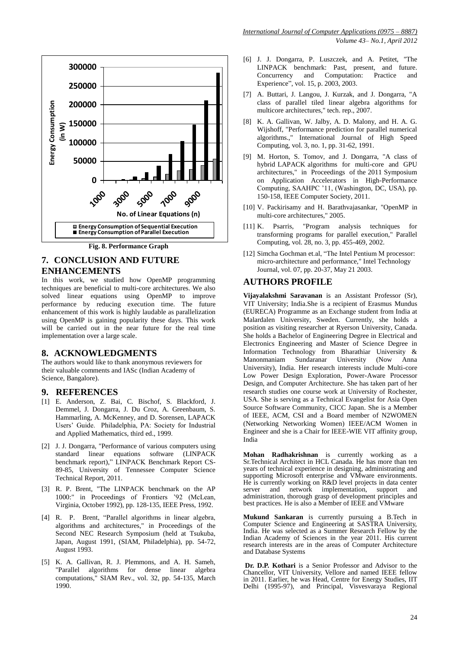

**Fig. 8. Performance Graph**

## **7. CONCLUSION AND FUTURE ENHANCEMENTS**

In this work, we studied how OpenMP programming techniques are beneficial to multi-core architectures. We also solved linear equations using OpenMP to improve performance by reducing execution time. The future enhancement of this work is highly laudable as parallelization using OpenMP is gaining popularity these days. This work will be carried out in the near future for the real time implementation over a large scale.

#### **8. ACKNOWLEDGMENTS**

The authors would like to thank anonymous reviewers for their valuable comments and IASc (Indian Academy of Science, Bangalore).

#### **9. REFERENCES**

- [1] E. Anderson, Z. Bai, C. Bischof, S. Blackford, J. Demmel, J. Dongarra, J. Du Croz, A. Greenbaum, S. Hammarling, A. McKenney, and D. Sorensen, LAPACK Users' Guide. Philadelphia, PA: Society for Industrial and Applied Mathematics, third ed., 1999.
- [2] J. J. Dongarra, "Performance of various computers using standard linear equations software (LINPACK benchmark report)," LINPACK Benchmark Report CS-89-85, University of Tennessee Computer Science Technical Report, 2011.
- [3] R. P. Brent, "The LINPACK benchmark on the AP 1000:" in Proceedings of Frontiers '92 (McLean, Virginia, October 1992), pp. 128-135, IEEE Press, 1992.
- [4] R. P. Brent, "Parallel algorithms in linear algebra, algorithms and architectures," in Proceedings of the Second NEC Research Symposium (held at Tsukuba, Japan, August 1991, (SIAM, Philadelphia), pp. 54-72, August 1993.
- [5] K. A. Gallivan, R. J. Plemmons, and A. H. Sameh, "Parallel algorithms for dense linear algebra computations," SIAM Rev., vol. 32, pp. 54-135, March 1990.
- [6] J. J. Dongarra, P. Luszczek, and A. Petitet, "The LINPACK benchmark: Past, present, and future. Concurrency and Computation: Practice and Experience", vol. 15, p. 2003, 2003.
- [7] A. Buttari, J. Langou, J. Kurzak, and J. Dongarra, "A class of parallel tiled linear algebra algorithms for multicore architectures," tech. rep., 2007.
- [8] K. A. Gallivan, W. Jalby, A. D. Malony, and H. A. G. Wijshoff, "Performance prediction for parallel numerical algorithms.," International Journal of High Speed Computing, vol. 3, no. 1, pp. 31-62, 1991.
- [9] M. Horton, S. Tomov, and J. Dongarra, "A class of hybrid LAPACK algorithms for multi-core and GPU architectures," in Proceedings of the 2011 Symposium on Application Accelerators in High-Performance Computing, SAAHPC '11, (Washington, DC, USA), pp. 150-158, IEEE Computer Society, 2011.
- [10] V. Packirisamy and H. Barathvajasankar, "OpenMP in multi-core architectures," 2005.
- [11] K. Psarris, "Program analysis techniques for transforming programs for parallel execution," Parallel Computing, vol. 28, no. 3, pp. 455-469, 2002.
- [12] Simcha Gochman et.al, "The Intel Pentium M processor: micro-architecture and performance," Intel Technology Journal, vol. 07, pp. 20-37, May 21 2003.

#### **AUTHORS PROFILE**

**Vijayalakshmi Saravanan** is an Assistant Professor (Sr), VIT University; India.She is a recipient of Erasmus Mundus (EURECA) Programme as an Exchange student from India at Malardalen University, Sweden. Currently, she holds a position as visiting researcher at Ryerson University, Canada. She holds a Bachelor of Engineering Degree in Electrical and Electronics Engineering and Master of Science Degree in Information Technology from Bharathiar University & Manonmaniam Sundaranar University (Now Anna University), India. Her research interests include Multi-core Low Power Design Exploration, Power-Aware Processor Design, and Computer Architecture. She has taken part of her research studies one course work at University of Rochester, USA. She is serving as a Technical Evangelist for Asia Open Source Software Community, CICC Japan. She is a Member of IEEE, ACM, CSI and a Board member of N2WOMEN (Networking Networking Women) IEEE/ACM Women in Engineer and she is a Chair for IEEE-WIE VIT affinity group, India

**Mohan Radhakrishnan** is currently working as a Sr.Technical Architect in HCL Canada. He has more than ten years of technical experience in designing, administrating and supporting Microsoft enterprise and VMware environments. He is currently working on R&D level projects in data center<br>server and network implementation, support and server and network implementation, support and administration, thorough grasp of development principles and best practices. He is also a Member of IEEE and VMware

**Mukund Sankaran** is currently pursuing a B.Tech in Computer Science and Engineering at SASTRA University, India. He was selected as a Summer Research Fellow by the Indian Academy of Sciences in the year 2011. His current research interests are in the areas of Computer Architecture and Database Systems

**Dr. D.P. Kothari** is a Senior Professor and Advisor to the Chancellor, VIT University, Vellore and named IEEE fellow in 2011. Earlier, he was Head, Centre for Energy Studies, IIT Delhi (1995-97), and Principal, Visvesvaraya Regional